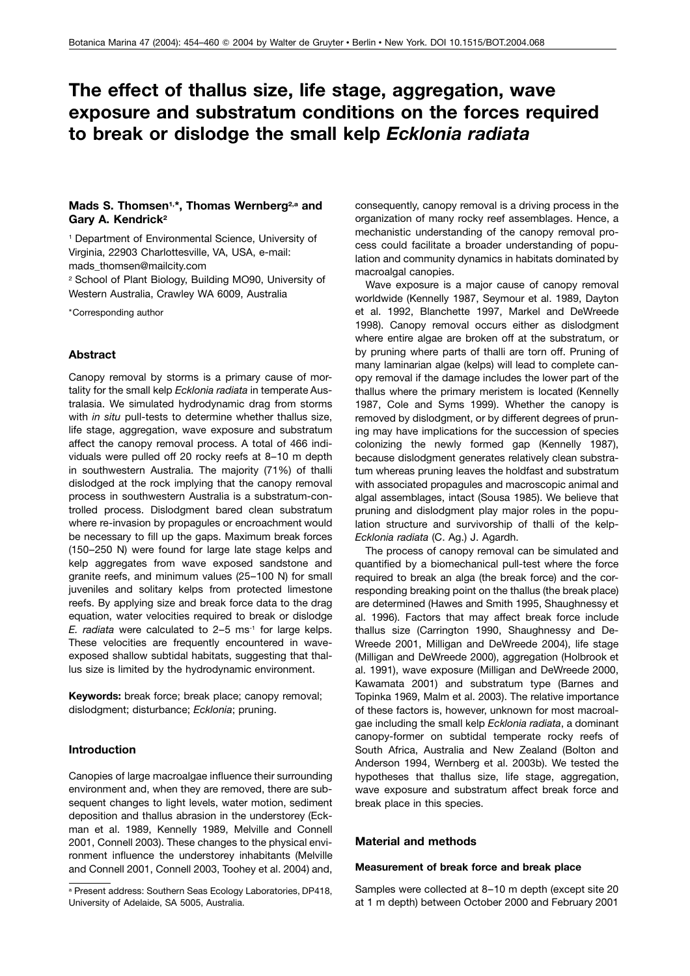# **The effect of thallus size, life stage, aggregation, wave exposure and substratum conditions on the forces required to break or dislodge the small kelp** *Ecklonia radiata*

# **Mads S. Thomsen1,\*, Thomas Wernberg2,a and** Gary A. Kendrick<sup>2</sup>

<sup>1</sup> Department of Environmental Science, University of Virginia, 22903 Charlottesville, VA, USA, e-mail: mads\_thomsen@mailcity.com

<sup>2</sup> School of Plant Biology, Building MO90, University of Western Australia, Crawley WA 6009, Australia

\*Corresponding author

# **Abstract**

Canopy removal by storms is a primary cause of mortality for the small kelp *Ecklonia radiata* in temperate Australasia. We simulated hydrodynamic drag from storms with *in situ* pull-tests to determine whether thallus size, life stage, aggregation, wave exposure and substratum affect the canopy removal process. A total of 466 individuals were pulled off 20 rocky reefs at 8–10 m depth in southwestern Australia. The majority (71%) of thalli dislodged at the rock implying that the canopy removal process in southwestern Australia is a substratum-controlled process. Dislodgment bared clean substratum where re-invasion by propagules or encroachment would be necessary to fill up the gaps. Maximum break forces (150–250 N) were found for large late stage kelps and kelp aggregates from wave exposed sandstone and granite reefs, and minimum values (25–100 N) for small juveniles and solitary kelps from protected limestone reefs. By applying size and break force data to the drag equation, water velocities required to break or dislodge *E. radiata* were calculated to 2–5 ms-1 for large kelps. These velocities are frequently encountered in waveexposed shallow subtidal habitats, suggesting that thallus size is limited by the hydrodynamic environment.

**Keywords:** break force; break place; canopy removal; dislodgment; disturbance; *Ecklonia*; pruning.

## **Introduction**

Canopies of large macroalgae influence their surrounding environment and, when they are removed, there are subsequent changes to light levels, water motion, sediment deposition and thallus abrasion in the understorey (Eckman et al. 1989, Kennelly 1989, Melville and Connell 2001, Connell 2003). These changes to the physical environment influence the understorey inhabitants (Melville and Connell 2001, Connell 2003, Toohey et al. 2004) and, consequently, canopy removal is a driving process in the organization of many rocky reef assemblages. Hence, a mechanistic understanding of the canopy removal process could facilitate a broader understanding of population and community dynamics in habitats dominated by macroalgal canopies.

Wave exposure is a major cause of canopy removal worldwide (Kennelly 1987, Seymour et al. 1989, Dayton et al. 1992, Blanchette 1997, Markel and DeWreede 1998). Canopy removal occurs either as dislodgment where entire algae are broken off at the substratum, or by pruning where parts of thalli are torn off. Pruning of many laminarian algae (kelps) will lead to complete canopy removal if the damage includes the lower part of the thallus where the primary meristem is located (Kennelly 1987, Cole and Syms 1999). Whether the canopy is removed by dislodgment, or by different degrees of pruning may have implications for the succession of species colonizing the newly formed gap (Kennelly 1987), because dislodgment generates relatively clean substratum whereas pruning leaves the holdfast and substratum with associated propagules and macroscopic animal and algal assemblages, intact (Sousa 1985). We believe that pruning and dislodgment play major roles in the population structure and survivorship of thalli of the kelp-*Ecklonia radiata* (C. Ag.) J. Agardh.

The process of canopy removal can be simulated and quantified by a biomechanical pull-test where the force required to break an alga (the break force) and the corresponding breaking point on the thallus (the break place) are determined (Hawes and Smith 1995, Shaughnessy et al. 1996). Factors that may affect break force include thallus size (Carrington 1990, Shaughnessy and De-Wreede 2001, Milligan and DeWreede 2004), life stage (Milligan and DeWreede 2000), aggregation (Holbrook et al. 1991), wave exposure (Milligan and DeWreede 2000, Kawamata 2001) and substratum type (Barnes and Topinka 1969, Malm et al. 2003). The relative importance of these factors is, however, unknown for most macroalgae including the small kelp *Ecklonia radiata*, a dominant canopy-former on subtidal temperate rocky reefs of South Africa, Australia and New Zealand (Bolton and Anderson 1994, Wernberg et al. 2003b). We tested the hypotheses that thallus size, life stage, aggregation, wave exposure and substratum affect break force and break place in this species.

# **Material and methods**

## **Measurement of break force and break place**

Samples were collected at 8–10 m depth (except site 20 at 1 m depth) between October 2000 and February 2001

<sup>&</sup>lt;sup>a</sup> Present address: Southern Seas Ecology Laboratories, DP418, University of Adelaide, SA 5005, Australia.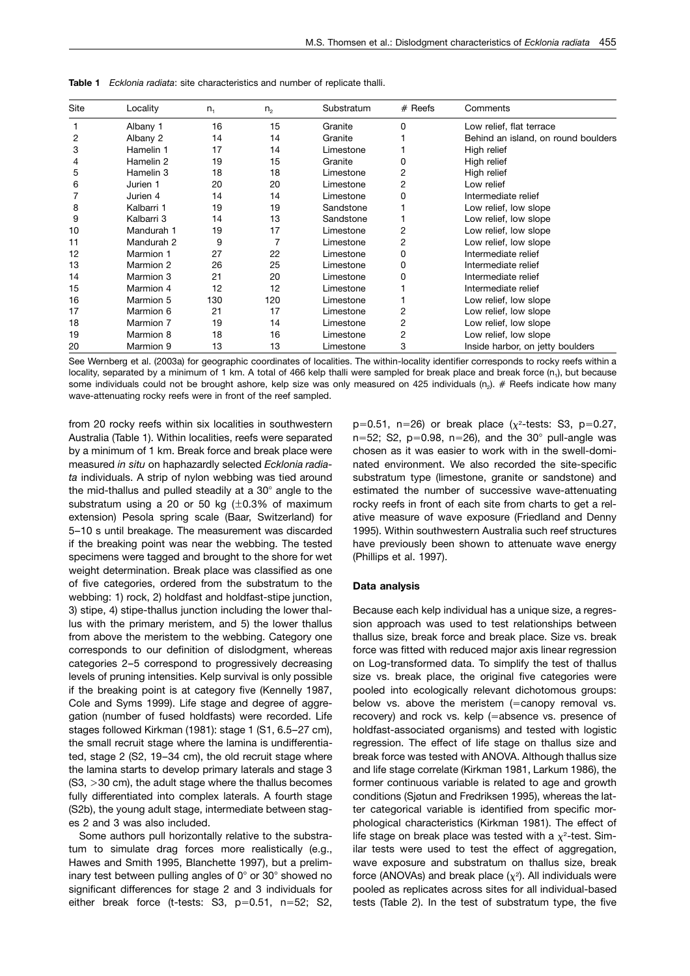| Site | Locality   | $n_{1}$ | n <sub>2</sub> | Substratum | $#$ Reefs | Comments                            |
|------|------------|---------|----------------|------------|-----------|-------------------------------------|
|      | Albany 1   | 16      | 15             | Granite    | O         | Low relief, flat terrace            |
| 2    | Albany 2   | 14      | 14             | Granite    |           | Behind an island, on round boulders |
| 3    | Hamelin 1  | 17      | 14             | Limestone  |           | High relief                         |
| 4    | Hamelin 2  | 19      | 15             | Granite    | O         | High relief                         |
| 5    | Hamelin 3  | 18      | 18             | Limestone  | 2         | High relief                         |
| 6    | Jurien 1   | 20      | 20             | Limestone  | 2         | Low relief                          |
|      | Jurien 4   | 14      | 14             | Limestone  | O         | Intermediate relief                 |
| 8    | Kalbarri 1 | 19      | 19             | Sandstone  |           | Low relief, low slope               |
| 9    | Kalbarri 3 | 14      | 13             | Sandstone  |           | Low relief, low slope               |
| 10   | Mandurah 1 | 19      | 17             | Limestone  | 2         | Low relief, low slope               |
| 11   | Mandurah 2 | 9       | 7              | Limestone  | 2         | Low relief, low slope               |
| 12   | Marmion 1  | 27      | 22             | Limestone  | 0         | Intermediate relief                 |
| 13   | Marmion 2  | 26      | 25             | Limestone  | 0         | Intermediate relief                 |
| 14   | Marmion 3  | 21      | 20             | Limestone  | 0         | Intermediate relief                 |
| 15   | Marmion 4  | 12      | 12             | Limestone  |           | Intermediate relief                 |
| 16   | Marmion 5  | 130     | 120            | Limestone  |           | Low relief, low slope               |
| 17   | Marmion 6  | 21      | 17             | Limestone  | 2         | Low relief, low slope               |
| 18   | Marmion 7  | 19      | 14             | Limestone  | 2         | Low relief, low slope               |
| 19   | Marmion 8  | 18      | 16             | Limestone  | 2         | Low relief, low slope               |
| 20   | Marmion 9  | 13      | 13             | Limestone  | 3         | Inside harbor, on jetty boulders    |

**Table 1** *Ecklonia radiata*: site characteristics and number of replicate thalli.

See Wernberg et al. (2003a) for geographic coordinates of localities. The within-locality identifier corresponds to rocky reefs within a locality, separated by a minimum of 1 km. A total of 466 kelp thalli were sampled for break place and break force  $(n_1)$ , but because some individuals could not be brought ashore, kelp size was only measured on 425 individuals  $(n_2)$ . # Reefs indicate how many wave-attenuating rocky reefs were in front of the reef sampled.

from 20 rocky reefs within six localities in southwestern Australia (Table 1). Within localities, reefs were separated by a minimum of 1 km. Break force and break place were measured *in situ* on haphazardly selected *Ecklonia radiata* individuals. A strip of nylon webbing was tied around the mid-thallus and pulled steadily at a  $30^\circ$  angle to the substratum using a 20 or 50 kg  $(\pm 0.3\%$  of maximum extension) Pesola spring scale (Baar, Switzerland) for 5–10 s until breakage. The measurement was discarded if the breaking point was near the webbing. The tested specimens were tagged and brought to the shore for wet weight determination. Break place was classified as one of five categories, ordered from the substratum to the webbing: 1) rock, 2) holdfast and holdfast-stipe junction, 3) stipe, 4) stipe-thallus junction including the lower thallus with the primary meristem, and 5) the lower thallus from above the meristem to the webbing. Category one corresponds to our definition of dislodgment, whereas categories 2–5 correspond to progressively decreasing levels of pruning intensities. Kelp survival is only possible if the breaking point is at category five (Kennelly 1987, Cole and Syms 1999). Life stage and degree of aggregation (number of fused holdfasts) were recorded. Life stages followed Kirkman (1981): stage 1 (S1, 6.5–27 cm), the small recruit stage where the lamina is undifferentiated, stage 2 (S2, 19–34 cm), the old recruit stage where the lamina starts to develop primary laterals and stage 3  $(S3, >30 \text{ cm})$ , the adult stage where the thallus becomes fully differentiated into complex laterals. A fourth stage (S2b), the young adult stage, intermediate between stages 2 and 3 was also included.

Some authors pull horizontally relative to the substratum to simulate drag forces more realistically (e.g., Hawes and Smith 1995, Blanchette 1997), but a preliminary test between pulling angles of  $0^\circ$  or  $30^\circ$  showed no significant differences for stage 2 and 3 individuals for either break force (t-tests: S3,  $p=0.51$ ,  $n=52$ ; S2, p=0.51, n=26) or break place ( $x^2$ -tests: S3, p=0.27, n=52; S2, p=0.98, n=26), and the  $30^{\circ}$  pull-angle was chosen as it was easier to work with in the swell-dominated environment. We also recorded the site-specific substratum type (limestone, granite or sandstone) and estimated the number of successive wave-attenuating rocky reefs in front of each site from charts to get a relative measure of wave exposure (Friedland and Denny 1995). Within southwestern Australia such reef structures have previously been shown to attenuate wave energy (Phillips et al. 1997).

#### **Data analysis**

Because each kelp individual has a unique size, a regression approach was used to test relationships between thallus size, break force and break place. Size vs. break force was fitted with reduced major axis linear regression on Log-transformed data. To simplify the test of thallus size vs. break place, the original five categories were pooled into ecologically relevant dichotomous groups: below vs. above the meristem  $(=\text{canopy removal vs.})$ recovery) and rock vs. kelp (=absence vs. presence of holdfast-associated organisms) and tested with logistic regression. The effect of life stage on thallus size and break force was tested with ANOVA. Although thallus size and life stage correlate (Kirkman 1981, Larkum 1986), the former continuous variable is related to age and growth conditions (Sjøtun and Fredriksen 1995), whereas the latter categorical variable is identified from specific morphological characteristics (Kirkman 1981). The effect of life stage on break place was tested with a  $x^2$ -test. Similar tests were used to test the effect of aggregation. wave exposure and substratum on thallus size, break force (ANOVAs) and break place  $(\chi^2)$ . All individuals were pooled as replicates across sites for all individual-based tests (Table 2). In the test of substratum type, the five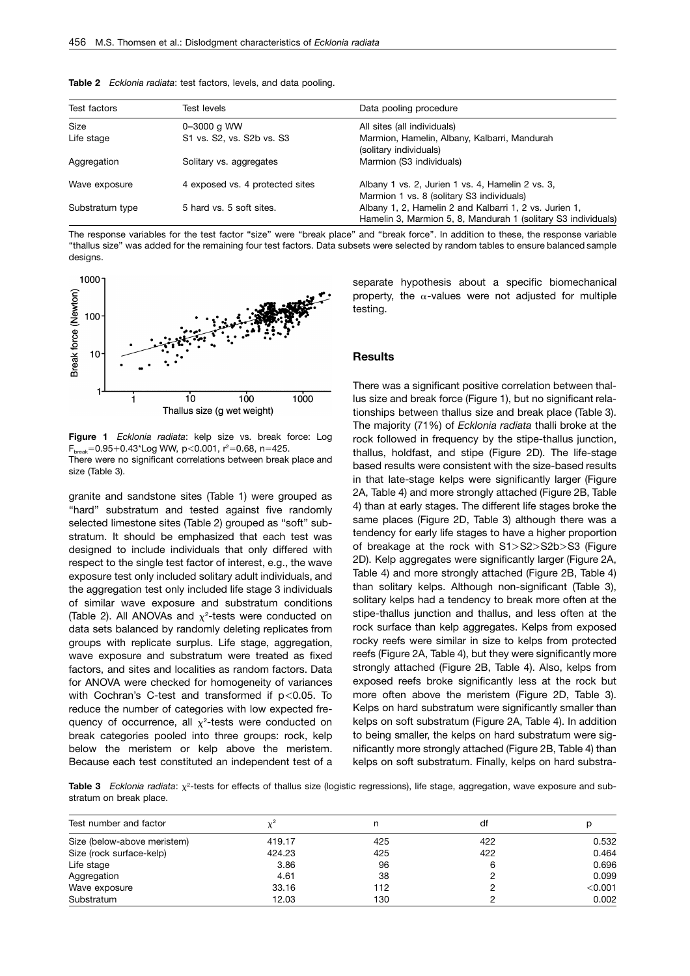| Test factors    | Test levels                     | Data pooling procedure                                                                                                  |
|-----------------|---------------------------------|-------------------------------------------------------------------------------------------------------------------------|
| Size            | 0-3000 g WW                     | All sites (all individuals)                                                                                             |
| Life stage      | S1 vs. S2, vs. S2b vs. S3       | Marmion, Hamelin, Albany, Kalbarri, Mandurah<br>(solitary individuals)                                                  |
| Aggregation     | Solitary vs. aggregates         | Marmion (S3 individuals)                                                                                                |
| Wave exposure   | 4 exposed vs. 4 protected sites | Albany 1 vs. 2, Jurien 1 vs. 4, Hamelin 2 vs. 3,<br>Marmion 1 vs. 8 (solitary S3 individuals)                           |
| Substratum type | 5 hard vs. 5 soft sites.        | Albany 1, 2, Hamelin 2 and Kalbarri 1, 2 vs. Jurien 1,<br>Hamelin 3, Marmion 5, 8, Mandurah 1 (solitary S3 individuals) |

|  | Table 2 Ecklonia radiata: test factors, levels, and data pooling. |  |  |  |  |  |  |  |
|--|-------------------------------------------------------------------|--|--|--|--|--|--|--|
|--|-------------------------------------------------------------------|--|--|--|--|--|--|--|

The response variables for the test factor "size" were "break place" and "break force". In addition to these, the response variable ''thallus size'' was added for the remaining four test factors. Data subsets were selected by random tables to ensure balanced sample designs.



**Figure 1** *Ecklonia radiata*: kelp size vs. break force: Log  $F_{break} = 0.95 + 0.43*$ Log WW, p<0.001, r<sup>2</sup>=0.68, n=425. There were no significant correlations between break place and size (Table 3).

granite and sandstone sites (Table 1) were grouped as "hard" substratum and tested against five randomly selected limestone sites (Table 2) grouped as "soft" substratum. It should be emphasized that each test was designed to include individuals that only differed with respect to the single test factor of interest, e.g., the wave exposure test only included solitary adult individuals, and the aggregation test only included life stage 3 individuals of similar wave exposure and substratum conditions (Table 2). All ANOVAs and  $\chi^2$ -tests were conducted on data sets balanced by randomly deleting replicates from groups with replicate surplus. Life stage, aggregation, wave exposure and substratum were treated as fixed factors, and sites and localities as random factors. Data for ANOVA were checked for homogeneity of variances with Cochran's C-test and transformed if  $p<0.05$ . To reduce the number of categories with low expected frequency of occurrence, all  $x^2$ -tests were conducted on break categories pooled into three groups: rock, kelp below the meristem or kelp above the meristem. Because each test constituted an independent test of a separate hypothesis about a specific biomechanical property, the  $\alpha$ -values were not adjusted for multiple testing.

# **Results**

There was a significant positive correlation between thallus size and break force (Figure 1), but no significant relationships between thallus size and break place (Table 3). The majority (71%) of *Ecklonia radiata* thalli broke at the rock followed in frequency by the stipe-thallus junction, thallus, holdfast, and stipe (Figure 2D). The life-stage based results were consistent with the size-based results in that late-stage kelps were significantly larger (Figure 2A, Table 4) and more strongly attached (Figure 2B, Table 4) than at early stages. The different life stages broke the same places (Figure 2D, Table 3) although there was a tendency for early life stages to have a higher proportion of breakage at the rock with  $S1 > S2 > S2b > S3$  (Figure 2D). Kelp aggregates were significantly larger (Figure 2A, Table 4) and more strongly attached (Figure 2B, Table 4) than solitary kelps. Although non-significant (Table 3), solitary kelps had a tendency to break more often at the stipe-thallus junction and thallus, and less often at the rock surface than kelp aggregates. Kelps from exposed rocky reefs were similar in size to kelps from protected reefs (Figure 2A, Table 4), but they were significantly more strongly attached (Figure 2B, Table 4). Also, kelps from exposed reefs broke significantly less at the rock but more often above the meristem (Figure 2D, Table 3). Kelps on hard substratum were significantly smaller than kelps on soft substratum (Figure 2A, Table 4). In addition to being smaller, the kelps on hard substratum were significantly more strongly attached (Figure 2B, Table 4) than kelps on soft substratum. Finally, kelps on hard substra-

Table 3 *Ecklonia radiata*:  $x^2$ -tests for effects of thallus size (logistic regressions), life stage, aggregation, wave exposure and substratum on break place.

| Test number and factor      |        |     | df  |         |  |
|-----------------------------|--------|-----|-----|---------|--|
| Size (below-above meristem) | 419.17 | 425 | 422 | 0.532   |  |
| Size (rock surface-kelp)    | 424.23 | 425 | 422 | 0.464   |  |
| Life stage                  | 3.86   | 96  | 6   | 0.696   |  |
| Aggregation                 | 4.61   | 38  |     | 0.099   |  |
| Wave exposure               | 33.16  | 112 |     | < 0.001 |  |
| Substratum                  | 12.03  | 130 |     | 0.002   |  |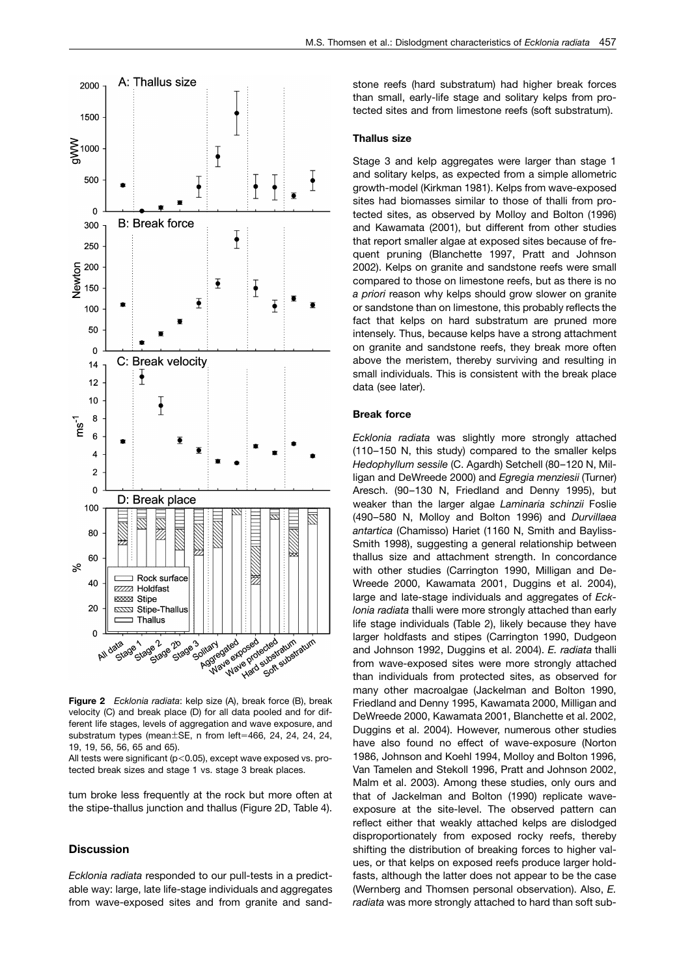

**Figure 2** *Ecklonia radiata*: kelp size (A), break force (B), break velocity (C) and break place (D) for all data pooled and for different life stages, levels of aggregation and wave exposure, and substratum types (mean $\pm$ SE, n from left=466, 24, 24, 24, 24, 19, 19, 56, 56, 65 and 65).

All tests were significant ( $p$ <0.05), except wave exposed vs. protected break sizes and stage 1 vs. stage 3 break places.

tum broke less frequently at the rock but more often at the stipe-thallus junction and thallus (Figure 2D, Table 4).

#### **Discussion**

*Ecklonia radiata* responded to our pull-tests in a predictable way: large, late life-stage individuals and aggregates from wave-exposed sites and from granite and sandstone reefs (hard substratum) had higher break forces than small, early-life stage and solitary kelps from protected sites and from limestone reefs (soft substratum).

## **Thallus size**

Stage 3 and kelp aggregates were larger than stage 1 and solitary kelps, as expected from a simple allometric growth-model (Kirkman 1981). Kelps from wave-exposed sites had biomasses similar to those of thalli from protected sites, as observed by Molloy and Bolton (1996) and Kawamata (2001), but different from other studies that report smaller algae at exposed sites because of frequent pruning (Blanchette 1997, Pratt and Johnson 2002). Kelps on granite and sandstone reefs were small compared to those on limestone reefs, but as there is no *a priori* reason why kelps should grow slower on granite or sandstone than on limestone, this probably reflects the fact that kelps on hard substratum are pruned more intensely. Thus, because kelps have a strong attachment on granite and sandstone reefs, they break more often above the meristem, thereby surviving and resulting in small individuals. This is consistent with the break place data (see later).

# **Break force**

*Ecklonia radiata* was slightly more strongly attached (110–150 N, this study) compared to the smaller kelps *Hedophyllum sessile* (C. Agardh) Setchell (80–120 N, Milligan and DeWreede 2000) and *Egregia menziesii* (Turner) Aresch. (90–130 N, Friedland and Denny 1995), but weaker than the larger algae *Laminaria schinzii* Foslie (490–580 N, Molloy and Bolton 1996) and *Durvillaea antartica* (Chamisso) Hariet (1160 N, Smith and Bayliss-Smith 1998), suggesting a general relationship between thallus size and attachment strength. In concordance with other studies (Carrington 1990, Milligan and De-Wreede 2000, Kawamata 2001, Duggins et al. 2004), large and late-stage individuals and aggregates of *Ecklonia radiata* thalli were more strongly attached than early life stage individuals (Table 2), likely because they have larger holdfasts and stipes (Carrington 1990, Dudgeon and Johnson 1992, Duggins et al. 2004). *E. radiata* thalli from wave-exposed sites were more strongly attached than individuals from protected sites, as observed for many other macroalgae (Jackelman and Bolton 1990, Friedland and Denny 1995, Kawamata 2000, Milligan and DeWreede 2000, Kawamata 2001, Blanchette et al. 2002, Duggins et al. 2004). However, numerous other studies have also found no effect of wave-exposure (Norton 1986, Johnson and Koehl 1994, Molloy and Bolton 1996, Van Tamelen and Stekoll 1996, Pratt and Johnson 2002, Malm et al. 2003). Among these studies, only ours and that of Jackelman and Bolton (1990) replicate waveexposure at the site-level. The observed pattern can reflect either that weakly attached kelps are dislodged disproportionately from exposed rocky reefs, thereby shifting the distribution of breaking forces to higher values, or that kelps on exposed reefs produce larger holdfasts, although the latter does not appear to be the case (Wernberg and Thomsen personal observation). Also, *E. radiata* was more strongly attached to hard than soft sub-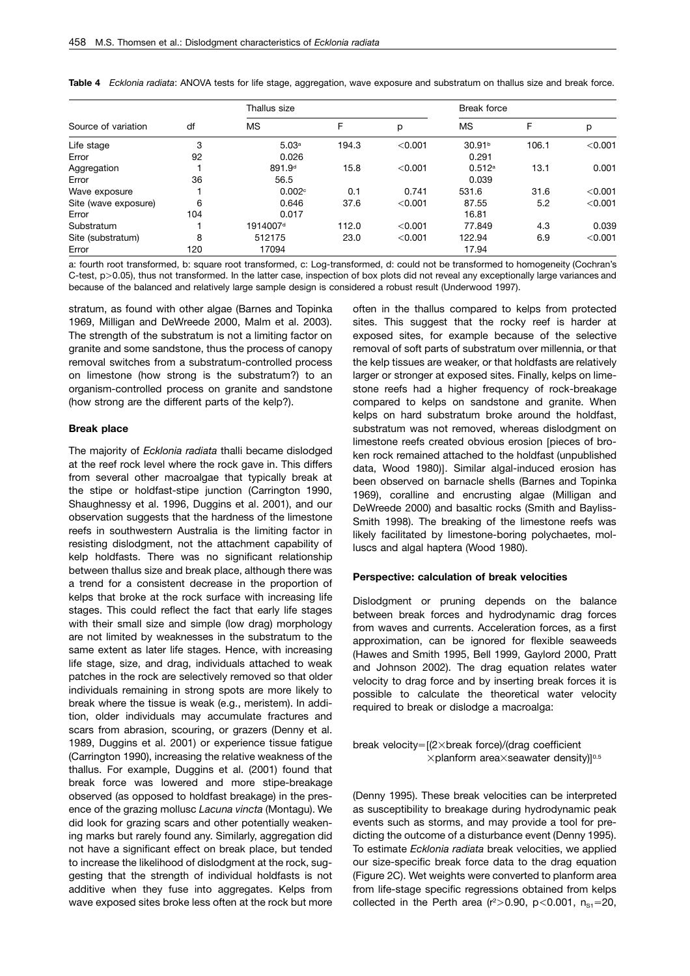|                      | df  | Thallus size         | Break force |         |                    |       |         |
|----------------------|-----|----------------------|-------------|---------|--------------------|-------|---------|
| Source of variation  |     | <b>MS</b>            | F           | p       | <b>MS</b>          | F     | р       |
| Life stage           | 3   | 5.03a                | 194.3       | < 0.001 | 30.91 <sup>b</sup> | 106.1 | < 0.001 |
| Error                | 92  | 0.026                |             |         | 0.291              |       |         |
| Aggregation          |     | 891.9 <sup>d</sup>   | 15.8        | < 0.001 | 0.512a             | 13.1  | 0.001   |
| Error                | 36  | 56.5                 |             |         | 0.039              |       |         |
| Wave exposure        |     | $0.002$ <sup>c</sup> | 0.1         | 0.741   | 531.6              | 31.6  | < 0.001 |
| Site (wave exposure) | 6   | 0.646                | 37.6        | < 0.001 | 87.55              | 5.2   | < 0.001 |
| Error                | 104 | 0.017                |             |         | 16.81              |       |         |
| Substratum           |     | 1914007 <sup>d</sup> | 112.0       | < 0.001 | 77.849             | 4.3   | 0.039   |
| Site (substratum)    | 8   | 512175               | 23.0        | < 0.001 | 122.94             | 6.9   | < 0.001 |
| Error                | 120 | 17094                |             |         | 17.94              |       |         |

**Table 4** *Ecklonia radiata*: ANOVA tests for life stage, aggregation, wave exposure and substratum on thallus size and break force.

a: fourth root transformed, b: square root transformed, c: Log-transformed, d: could not be transformed to homogeneity (Cochran's C-test, p>0.05), thus not transformed. In the latter case, inspection of box plots did not reveal any exceptionally large variances and because of the balanced and relatively large sample design is considered a robust result (Underwood 1997).

stratum, as found with other algae (Barnes and Topinka 1969, Milligan and DeWreede 2000, Malm et al. 2003). The strength of the substratum is not a limiting factor on granite and some sandstone, thus the process of canopy removal switches from a substratum-controlled process on limestone (how strong is the substratum?) to an organism-controlled process on granite and sandstone (how strong are the different parts of the kelp?).

#### **Break place**

The majority of *Ecklonia radiata* thalli became dislodged at the reef rock level where the rock gave in. This differs from several other macroalgae that typically break at the stipe or holdfast-stipe junction (Carrington 1990, Shaughnessy et al. 1996, Duggins et al. 2001), and our observation suggests that the hardness of the limestone reefs in southwestern Australia is the limiting factor in resisting dislodgment, not the attachment capability of kelp holdfasts. There was no significant relationship between thallus size and break place, although there was a trend for a consistent decrease in the proportion of kelps that broke at the rock surface with increasing life stages. This could reflect the fact that early life stages with their small size and simple (low drag) morphology are not limited by weaknesses in the substratum to the same extent as later life stages. Hence, with increasing life stage, size, and drag, individuals attached to weak patches in the rock are selectively removed so that older individuals remaining in strong spots are more likely to break where the tissue is weak (e.g., meristem). In addition, older individuals may accumulate fractures and scars from abrasion, scouring, or grazers (Denny et al. 1989, Duggins et al. 2001) or experience tissue fatigue (Carrington 1990), increasing the relative weakness of the thallus. For example, Duggins et al. (2001) found that break force was lowered and more stipe-breakage observed (as opposed to holdfast breakage) in the presence of the grazing mollusc *Lacuna vincta* (Montagu). We did look for grazing scars and other potentially weakening marks but rarely found any. Similarly, aggregation did not have a significant effect on break place, but tended to increase the likelihood of dislodgment at the rock, suggesting that the strength of individual holdfasts is not additive when they fuse into aggregates. Kelps from wave exposed sites broke less often at the rock but more

often in the thallus compared to kelps from protected sites. This suggest that the rocky reef is harder at exposed sites, for example because of the selective removal of soft parts of substratum over millennia, or that the kelp tissues are weaker, or that holdfasts are relatively larger or stronger at exposed sites. Finally, kelps on limestone reefs had a higher frequency of rock-breakage compared to kelps on sandstone and granite. When kelps on hard substratum broke around the holdfast, substratum was not removed, whereas dislodgment on limestone reefs created obvious erosion [pieces of broken rock remained attached to the holdfast (unpublished data, Wood 1980)]. Similar algal-induced erosion has been observed on barnacle shells (Barnes and Topinka 1969), coralline and encrusting algae (Milligan and DeWreede 2000) and basaltic rocks (Smith and Bayliss-Smith 1998). The breaking of the limestone reefs was likely facilitated by limestone-boring polychaetes, molluscs and algal haptera (Wood 1980).

## **Perspective: calculation of break velocities**

Dislodgment or pruning depends on the balance between break forces and hydrodynamic drag forces from waves and currents. Acceleration forces, as a first approximation, can be ignored for flexible seaweeds (Hawes and Smith 1995, Bell 1999, Gaylord 2000, Pratt and Johnson 2002). The drag equation relates water velocity to drag force and by inserting break forces it is possible to calculate the theoretical water velocity required to break or dislodge a macroalga:

break velocity= $(2\times$ break force)/(drag coefficient  $\times$  planform area $\times$ seawater density)]<sup>0.5</sup>

(Denny 1995). These break velocities can be interpreted as susceptibility to breakage during hydrodynamic peak events such as storms, and may provide a tool for predicting the outcome of a disturbance event (Denny 1995). To estimate *Ecklonia radiata* break velocities, we applied our size-specific break force data to the drag equation (Figure 2C). Wet weights were converted to planform area from life-stage specific regressions obtained from kelps collected in the Perth area  $(r^2>0.90, p<0.001, n_{s_1}=20,$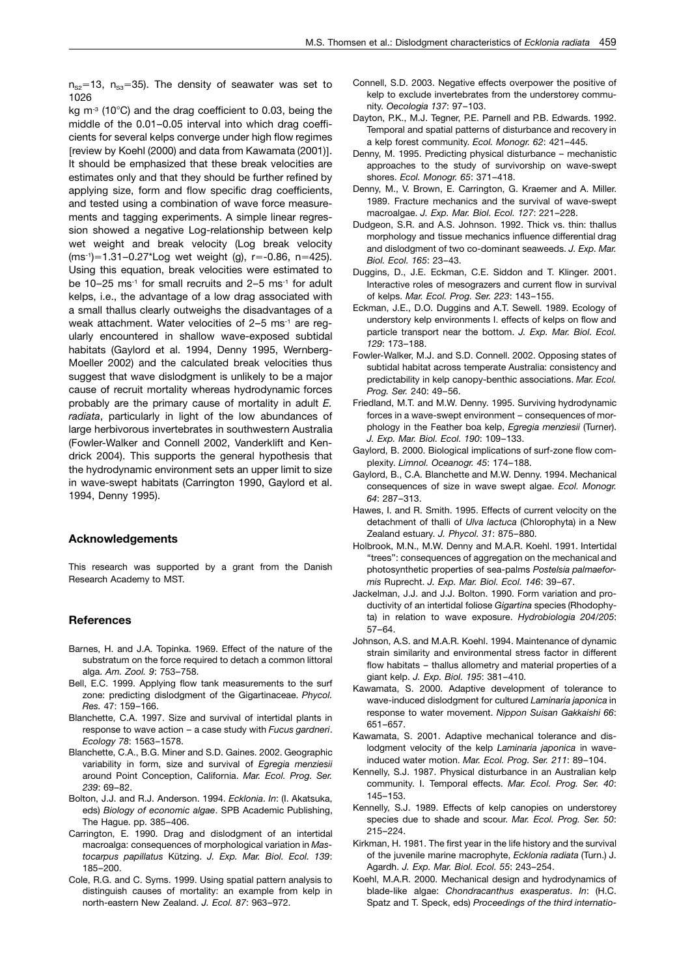$n_{S2}=13$ ,  $n_{S3}=35$ ). The density of seawater was set to 1026

kg  $m<sup>3</sup>$  (10°C) and the drag coefficient to 0.03, being the middle of the 0.01–0.05 interval into which drag coefficients for several kelps converge under high flow regimes [review by Koehl (2000) and data from Kawamata (2001)]. It should be emphasized that these break velocities are estimates only and that they should be further refined by applying size, form and flow specific drag coefficients, and tested using a combination of wave force measurements and tagging experiments. A simple linear regression showed a negative Log-relationship between kelp wet weight and break velocity (Log break velocity  $(ms<sup>-1</sup>)$ =1.31–0.27\*Log wet weight (g), r=-0.86, n=425). Using this equation, break velocities were estimated to be 10–25 ms<sup>-1</sup> for small recruits and 2–5 ms<sup>-1</sup> for adult kelps, i.e., the advantage of a low drag associated with a small thallus clearly outweighs the disadvantages of a weak attachment. Water velocities of 2–5 ms-1 are regularly encountered in shallow wave-exposed subtidal habitats (Gaylord et al. 1994, Denny 1995, Wernberg-Moeller 2002) and the calculated break velocities thus suggest that wave dislodgment is unlikely to be a major cause of recruit mortality whereas hydrodynamic forces probably are the primary cause of mortality in adult *E. radiata*, particularly in light of the low abundances of large herbivorous invertebrates in southwestern Australia (Fowler-Walker and Connell 2002, Vanderklift and Kendrick 2004). This supports the general hypothesis that the hydrodynamic environment sets an upper limit to size in wave-swept habitats (Carrington 1990, Gaylord et al. 1994, Denny 1995).

#### **Acknowledgements**

This research was supported by a grant from the Danish Research Academy to MST.

#### **References**

- Barnes, H. and J.A. Topinka. 1969. Effect of the nature of the substratum on the force required to detach a common littoral alga. *Am. Zool. 9*: 753–758.
- Bell, E.C. 1999. Applying flow tank measurements to the surf zone: predicting dislodgment of the Gigartinaceae. *Phycol. Res.* 47: 159–166.
- Blanchette, C.A. 1997. Size and survival of intertidal plants in response to wave action – a case study with *Fucus gardneri*. *Ecology 78*: 1563–1578.
- Blanchette, C.A., B.G. Miner and S.D. Gaines. 2002. Geographic variability in form, size and survival of *Egregia menziesii* around Point Conception, California. *Mar. Ecol. Prog. Ser. 239*: 69–82.
- Bolton, J.J. and R.J. Anderson. 1994. *Ecklonia*. *In*: (I. Akatsuka, eds) *Biology of economic algae*. SPB Academic Publishing, The Hague. pp. 385–406.
- Carrington, E. 1990. Drag and dislodgment of an intertidal macroalga: consequences of morphological variation in *Mastocarpus papillatus Kützing. J. Exp. Mar. Biol. Ecol. 139:* 185–200.
- Cole, R.G. and C. Syms. 1999. Using spatial pattern analysis to distinguish causes of mortality: an example from kelp in north-eastern New Zealand. *J. Ecol. 87*: 963–972.
- Connell, S.D. 2003. Negative effects overpower the positive of kelp to exclude invertebrates from the understorey community. *Oecologia 137*: 97–103.
- Dayton, P.K., M.J. Tegner, P.E. Parnell and P.B. Edwards. 1992. Temporal and spatial patterns of disturbance and recovery in a kelp forest community. *Ecol. Monogr. 62*: 421–445.
- Denny, M. 1995. Predicting physical disturbance mechanistic approaches to the study of survivorship on wave-swept shores. *Ecol. Monogr. 65*: 371–418.
- Denny, M., V. Brown, E. Carrington, G. Kraemer and A. Miller. 1989. Fracture mechanics and the survival of wave-swept macroalgae. *J. Exp. Mar. Biol. Ecol. 127*: 221–228.
- Dudgeon, S.R. and A.S. Johnson. 1992. Thick vs. thin: thallus morphology and tissue mechanics influence differential drag and dislodgment of two co-dominant seaweeds. *J. Exp. Mar. Biol. Ecol. 165*: 23–43.
- Duggins, D., J.E. Eckman, C.E. Siddon and T. Klinger. 2001. Interactive roles of mesograzers and current flow in survival of kelps. *Mar. Ecol. Prog. Ser. 223*: 143–155.
- Eckman, J.E., D.O. Duggins and A.T. Sewell. 1989. Ecology of understory kelp environments I. effects of kelps on flow and particle transport near the bottom. *J. Exp. Mar. Biol. Ecol. 129*: 173–188.
- Fowler-Walker, M.J. and S.D. Connell. 2002. Opposing states of subtidal habitat across temperate Australia: consistency and predictability in kelp canopy-benthic associations. *Mar. Ecol. Prog. Ser.* 240: 49–56.
- Friedland, M.T. and M.W. Denny. 1995. Surviving hydrodynamic forces in a wave-swept environment – consequences of morphology in the Feather boa kelp, *Egregia menziesii* (Turner). *J. Exp. Mar. Biol. Ecol. 190*: 109–133.
- Gaylord, B. 2000. Biological implications of surf-zone flow complexity. *Limnol. Oceanogr. 45*: 174–188.
- Gaylord, B., C.A. Blanchette and M.W. Denny. 1994. Mechanical consequences of size in wave swept algae. *Ecol. Monogr. 64*: 287–313.
- Hawes, I. and R. Smith. 1995. Effects of current velocity on the detachment of thalli of *Ulva lactuca* (Chlorophyta) in a New Zealand estuary. *J. Phycol. 31*: 875–880.
- Holbrook, M.N., M.W. Denny and M.A.R. Koehl. 1991. Intertidal ''trees'': consequences of aggregation on the mechanical and photosynthetic properties of sea-palms *Postelsia palmaeformis* Ruprecht. *J. Exp. Mar. Biol. Ecol. 146*: 39–67.
- Jackelman, J.J. and J.J. Bolton. 1990. Form variation and productivity of an intertidal foliose *Gigartina* species (Rhodophyta) in relation to wave exposure. *Hydrobiologia 204/205*: 57–64.
- Johnson, A.S. and M.A.R. Koehl. 1994. Maintenance of dynamic strain similarity and environmental stress factor in different flow habitats – thallus allometry and material properties of a giant kelp. *J. Exp. Biol. 195*: 381–410.
- Kawamata, S. 2000. Adaptive development of tolerance to wave-induced dislodgment for cultured *Laminaria japonica* in response to water movement. *Nippon Suisan Gakkaishi 66*: 651–657.
- Kawamata, S. 2001. Adaptive mechanical tolerance and dislodgment velocity of the kelp *Laminaria japonica* in waveinduced water motion. *Mar. Ecol. Prog. Ser. 211*: 89–104.
- Kennelly, S.J. 1987. Physical disturbance in an Australian kelp community. I. Temporal effects. *Mar. Ecol. Prog. Ser. 40*: 145–153.
- Kennelly, S.J. 1989. Effects of kelp canopies on understorey species due to shade and scour. *Mar. Ecol. Prog. Ser. 50*: 215–224.
- Kirkman, H. 1981. The first year in the life history and the survival of the juvenile marine macrophyte, *Ecklonia radiata* (Turn.) J. Agardh. *J. Exp. Mar. Biol. Ecol. 55*: 243–254.
- Koehl, M.A.R. 2000. Mechanical design and hydrodynamics of blade-like algae: *Chondracanthus exasperatus*. *In*: (H.C. Spatz and T. Speck, eds) *Proceedings of the third internatio-*